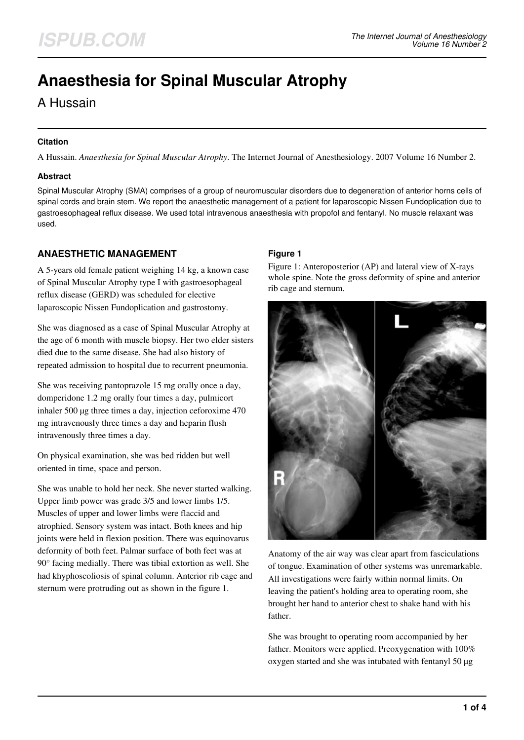# **Anaesthesia for Spinal Muscular Atrophy**

A Hussain

#### **Citation**

A Hussain. *Anaesthesia for Spinal Muscular Atrophy*. The Internet Journal of Anesthesiology. 2007 Volume 16 Number 2.

### **Abstract**

Spinal Muscular Atrophy (SMA) comprises of a group of neuromuscular disorders due to degeneration of anterior horns cells of spinal cords and brain stem. We report the anaesthetic management of a patient for laparoscopic Nissen Fundoplication due to gastroesophageal reflux disease. We used total intravenous anaesthesia with propofol and fentanyl. No muscle relaxant was used.

# **ANAESTHETIC MANAGEMENT**

A 5-years old female patient weighing 14 kg, a known case of Spinal Muscular Atrophy type I with gastroesophageal reflux disease (GERD) was scheduled for elective laparoscopic Nissen Fundoplication and gastrostomy.

She was diagnosed as a case of Spinal Muscular Atrophy at the age of 6 month with muscle biopsy. Her two elder sisters died due to the same disease. She had also history of repeated admission to hospital due to recurrent pneumonia.

She was receiving pantoprazole 15 mg orally once a day, domperidone 1.2 mg orally four times a day, pulmicort inhaler 500 µg three times a day, injection ceforoxime 470 mg intravenously three times a day and heparin flush intravenously three times a day.

On physical examination, she was bed ridden but well oriented in time, space and person.

She was unable to hold her neck. She never started walking. Upper limb power was grade 3/5 and lower limbs 1/5. Muscles of upper and lower limbs were flaccid and atrophied. Sensory system was intact. Both knees and hip joints were held in flexion position. There was equinovarus deformity of both feet. Palmar surface of both feet was at 90° facing medially. There was tibial extortion as well. She had khyphoscoliosis of spinal column. Anterior rib cage and sternum were protruding out as shown in the figure 1.

## **Figure 1**

Figure 1: Anteroposterior (AP) and lateral view of X-rays whole spine. Note the gross deformity of spine and anterior rib cage and sternum.



Anatomy of the air way was clear apart from fasciculations of tongue. Examination of other systems was unremarkable. All investigations were fairly within normal limits. On leaving the patient's holding area to operating room, she brought her hand to anterior chest to shake hand with his father.

She was brought to operating room accompanied by her father. Monitors were applied. Preoxygenation with 100% oxygen started and she was intubated with fentanyl 50 µg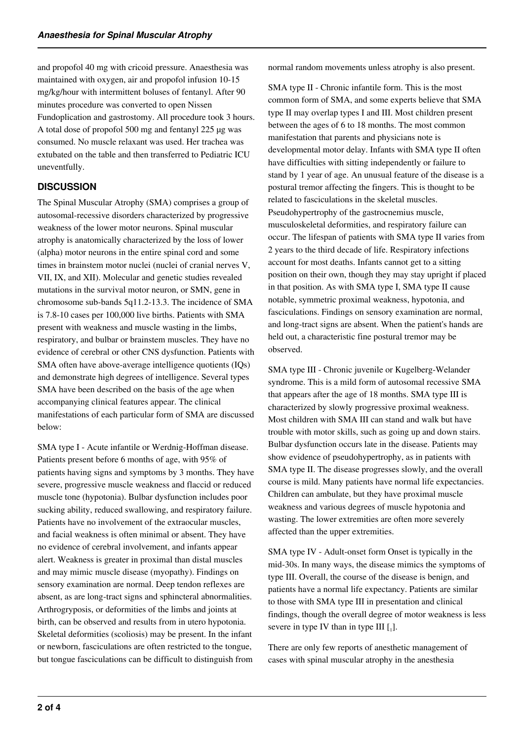and propofol 40 mg with cricoid pressure. Anaesthesia was maintained with oxygen, air and propofol infusion 10-15 mg/kg/hour with intermittent boluses of fentanyl. After 90 minutes procedure was converted to open Nissen Fundoplication and gastrostomy. All procedure took 3 hours. A total dose of propofol 500 mg and fentanyl 225 µg was consumed. No muscle relaxant was used. Her trachea was extubated on the table and then transferred to Pediatric ICU uneventfully.

## **DISCUSSION**

The Spinal Muscular Atrophy (SMA) comprises a group of autosomal-recessive disorders characterized by progressive weakness of the lower motor neurons. Spinal muscular atrophy is anatomically characterized by the loss of lower (alpha) motor neurons in the entire spinal cord and some times in brainstem motor nuclei (nuclei of cranial nerves V, VII, IX, and XII). Molecular and genetic studies revealed mutations in the survival motor neuron, or SMN, gene in chromosome sub-bands 5q11.2-13.3. The incidence of SMA is 7.8-10 cases per 100,000 live births. Patients with SMA present with weakness and muscle wasting in the limbs, respiratory, and bulbar or brainstem muscles. They have no evidence of cerebral or other CNS dysfunction. Patients with SMA often have above-average intelligence quotients (IQs) and demonstrate high degrees of intelligence. Several types SMA have been described on the basis of the age when accompanying clinical features appear. The clinical manifestations of each particular form of SMA are discussed below:

SMA type I - Acute infantile or Werdnig-Hoffman disease. Patients present before 6 months of age, with 95% of patients having signs and symptoms by 3 months. They have severe, progressive muscle weakness and flaccid or reduced muscle tone (hypotonia). Bulbar dysfunction includes poor sucking ability, reduced swallowing, and respiratory failure. Patients have no involvement of the extraocular muscles, and facial weakness is often minimal or absent. They have no evidence of cerebral involvement, and infants appear alert. Weakness is greater in proximal than distal muscles and may mimic muscle disease (myopathy). Findings on sensory examination are normal. Deep tendon reflexes are absent, as are long-tract signs and sphincteral abnormalities. Arthrogryposis, or deformities of the limbs and joints at birth, can be observed and results from in utero hypotonia. Skeletal deformities (scoliosis) may be present. In the infant or newborn, fasciculations are often restricted to the tongue, but tongue fasciculations can be difficult to distinguish from

normal random movements unless atrophy is also present.

SMA type II - Chronic infantile form. This is the most common form of SMA, and some experts believe that SMA type II may overlap types I and III. Most children present between the ages of 6 to 18 months. The most common manifestation that parents and physicians note is developmental motor delay. Infants with SMA type II often have difficulties with sitting independently or failure to stand by 1 year of age. An unusual feature of the disease is a postural tremor affecting the fingers. This is thought to be related to fasciculations in the skeletal muscles. Pseudohypertrophy of the gastrocnemius muscle, musculoskeletal deformities, and respiratory failure can occur. The lifespan of patients with SMA type II varies from 2 years to the third decade of life. Respiratory infections account for most deaths. Infants cannot get to a sitting position on their own, though they may stay upright if placed in that position. As with SMA type I, SMA type II cause notable, symmetric proximal weakness, hypotonia, and fasciculations. Findings on sensory examination are normal, and long-tract signs are absent. When the patient's hands are held out, a characteristic fine postural tremor may be observed.

SMA type III - Chronic juvenile or Kugelberg-Welander syndrome. This is a mild form of autosomal recessive SMA that appears after the age of 18 months. SMA type III is characterized by slowly progressive proximal weakness. Most children with SMA III can stand and walk but have trouble with motor skills, such as going up and down stairs. Bulbar dysfunction occurs late in the disease. Patients may show evidence of pseudohypertrophy, as in patients with SMA type II. The disease progresses slowly, and the overall course is mild. Many patients have normal life expectancies. Children can ambulate, but they have proximal muscle weakness and various degrees of muscle hypotonia and wasting. The lower extremities are often more severely affected than the upper extremities.

SMA type IV - Adult-onset form Onset is typically in the mid-30s. In many ways, the disease mimics the symptoms of type III. Overall, the course of the disease is benign, and patients have a normal life expectancy. Patients are similar to those with SMA type III in presentation and clinical findings, though the overall degree of motor weakness is less severe in type IV than in type III  $[$ <sub>1</sub>].

There are only few reports of anesthetic management of cases with spinal muscular atrophy in the anesthesia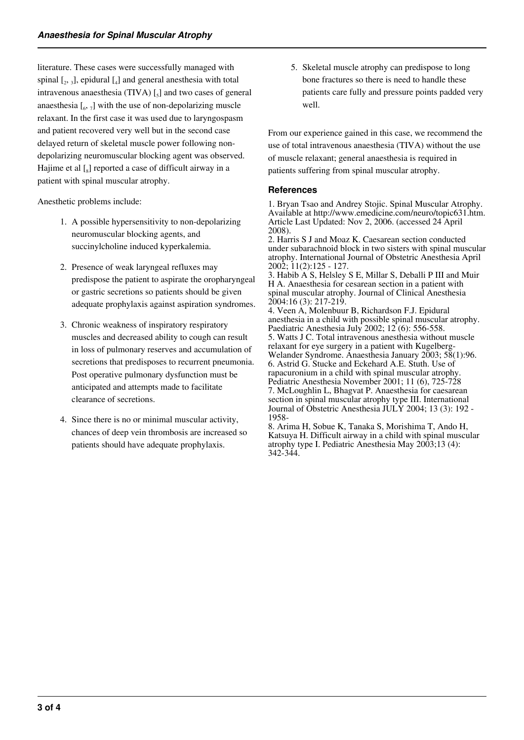literature. These cases were successfully managed with spinal  $\left[2, 3\right]$ , epidural  $\left[4\right]$  and general anesthesia with total intravenous anaesthesia (TIVA)  $\left[ \begin{smallmatrix} 5 \end{smallmatrix} \right]$  and two cases of general anaesthesia  $\left[\begin{smallmatrix}6&7\end{smallmatrix}\right]$  with the use of non-depolarizing muscle relaxant. In the first case it was used due to laryngospasm and patient recovered very well but in the second case delayed return of skeletal muscle power following nondepolarizing neuromuscular blocking agent was observed. Hajime et al [<sub>8</sub>] reported a case of difficult airway in a patient with spinal muscular atrophy.

Anesthetic problems include:

- 1. A possible hypersensitivity to non-depolarizing neuromuscular blocking agents, and succinylcholine induced kyperkalemia.
- 2. Presence of weak laryngeal refluxes may predispose the patient to aspirate the oropharyngeal or gastric secretions so patients should be given adequate prophylaxis against aspiration syndromes.
- 3. Chronic weakness of inspiratory respiratory muscles and decreased ability to cough can result in loss of pulmonary reserves and accumulation of secretions that predisposes to recurrent pneumonia. Post operative pulmonary dysfunction must be anticipated and attempts made to facilitate clearance of secretions.
- 4. Since there is no or minimal muscular activity, chances of deep vein thrombosis are increased so patients should have adequate prophylaxis.

5. Skeletal muscle atrophy can predispose to long bone fractures so there is need to handle these patients care fully and pressure points padded very well.

From our experience gained in this case, we recommend the use of total intravenous anaesthesia (TIVA) without the use of muscle relaxant; general anaesthesia is required in patients suffering from spinal muscular atrophy.

#### **References**

1. Bryan Tsao and Andrey Stojic. Spinal Muscular Atrophy. Available at http://www.emedicine.com/neuro/topic631.htm. Article Last Updated: Nov 2, 2006. (accessed 24 April 2008).

2. Harris S J and Moaz K. Caesarean section conducted under subarachnoid block in two sisters with spinal muscular atrophy. International Journal of Obstetric Anesthesia April 2002; 11(2):125 - 127.

3. Habib A S, Helsley S E, Millar S, Deballi P III and Muir H A. Anaesthesia for cesarean section in a patient with spinal muscular atrophy. Journal of Clinical Anesthesia 2004:16 (3): 217-219.

4. Veen A, Molenbuur B, Richardson F.J. Epidural anesthesia in a child with possible spinal muscular atrophy. Paediatric Anesthesia July 2002; 12 (6): 556-558. 5. Watts J C. Total intravenous anesthesia without muscle relaxant for eye surgery in a patient with Kugelberg-Welander Syndrome. Anaesthesia January 2003; 58(1):96. 6. Astrid G. Stucke and Eckehard A.E. Stuth. Use of rapacuronium in a child with spinal muscular atrophy. Pediatric Anesthesia November 2001; 11 (6), 725-728 7. McLoughlin L, Bhagvat P. Anaesthesia for caesarean section in spinal muscular atrophy type III. International Journal of Obstetric Anesthesia JULY 2004; 13 (3): 192 - 1958-

8. Arima H, Sobue K, Tanaka S, Morishima T, Ando H, Katsuya H. Difficult airway in a child with spinal muscular atrophy type I. Pediatric Anesthesia May 2003;13 (4): 342-344.